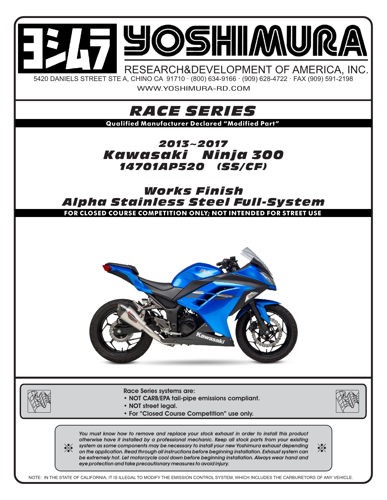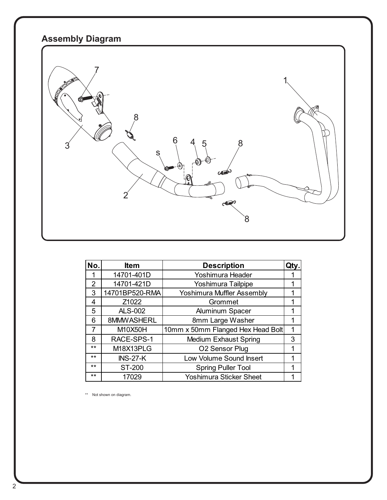## **Assembly Diagram**



| No.            | <b>Item</b>     | <b>Description</b>                | Qty. |
|----------------|-----------------|-----------------------------------|------|
|                | 14701-401D      | Yoshimura Header                  |      |
| $\overline{2}$ | 14701-421D      | Yoshimura Tailpipe                |      |
| 3              | 14701BP520-RMA  | <b>Yoshimura Muffler Assembly</b> |      |
| 4              | Z1022           | Grommet                           |      |
| 5              | <b>ALS-002</b>  | <b>Aluminum Spacer</b>            |      |
| 6              | 8MMWASHERL      | 8mm Large Washer                  |      |
| 7              | M10X50H         | 10mm x 50mm Flanged Hex Head Bolt |      |
| 8              | RACE-SPS-1      | <b>Medium Exhaust Spring</b>      | 3    |
| $***$          | M18X13PLG       | O2 Sensor Plug                    |      |
| $***$          | <b>INS-27-K</b> | Low Volume Sound Insert           |      |
| $***$          | ST-200          | <b>Spring Puller Tool</b>         |      |
| **             | 17029           | <b>Yoshimura Sticker Sheet</b>    |      |

\*\* Not shown on diagram.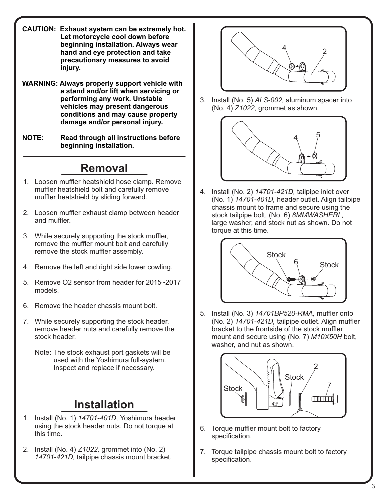- **CAUTION: Exhaust system can be extremely hot. Let motorcycle cool down before beginning installation. Always wear hand and eye protection and take precautionary measures to avoid injury.**
- **WARNING: Always properly support vehicle with a stand and/or lift when servicing or performing any work. Unstable vehicles may present dangerous conditions and may cause property damage and/or personal injury.**
- **NOTE: Read through all instructions before beginning installation.**

## **Removal**

- 1. Loosen muffler heatshield hose clamp. Remove muffler heatshield bolt and carefully remove muffler heatshield by sliding forward.
- 2. Loosen muffler exhaust clamp between header and muffler.
- 3. While securely supporting the stock muffler, remove the muffler mount bolt and carefully remove the stock muffler assembly.
- 4. Remove the left and right side lower cowling.
- 5. Remove O2 sensor from header for 2015~2017 models.
- 6. Remove the header chassis mount bolt.
- 7. While securely supporting the stock header, remove header nuts and carefully remove the stock header.
	- Note: The stock exhaust port gaskets will be used with the Yoshimura full-system. Inspect and replace if necessary.

## **Installation**

- 1. Install (No. 1) *14701-401D,* Yoshimura header using the stock header nuts. Do not torque at this time.
- 2. Install (No. 4) *Z1022,* grommet into (No. 2)  *14701-421D,* tailpipe chassis mount bracket.



3. Install (No. 5) *ALS-002,* aluminum spacer into (No. 4) *Z1022,* grommet as shown.



4. Install (No. 2) *14701-421D,* tailpipe inlet over (No. 1) *14701-401D,* header outlet. Align tailpipe chassis mount to frame and secure using the stock tailpipe bolt, (No. 6) *8MMWASHERL,* large washer, and stock nut as shown. Do not torque at this time.



5. Install (No. 3) *14701BP520-RMA,* muffler onto (No. 2) *14701-421D,* tailpipe outlet. Align muffler bracket to the frontside of the stock muffler mount and secure using (No. 7) *M10X50H* bolt, washer, and nut as shown.



- 6. Torque muffler mount bolt to factory specification.
- 7. Torque tailpipe chassis mount bolt to factory specification.